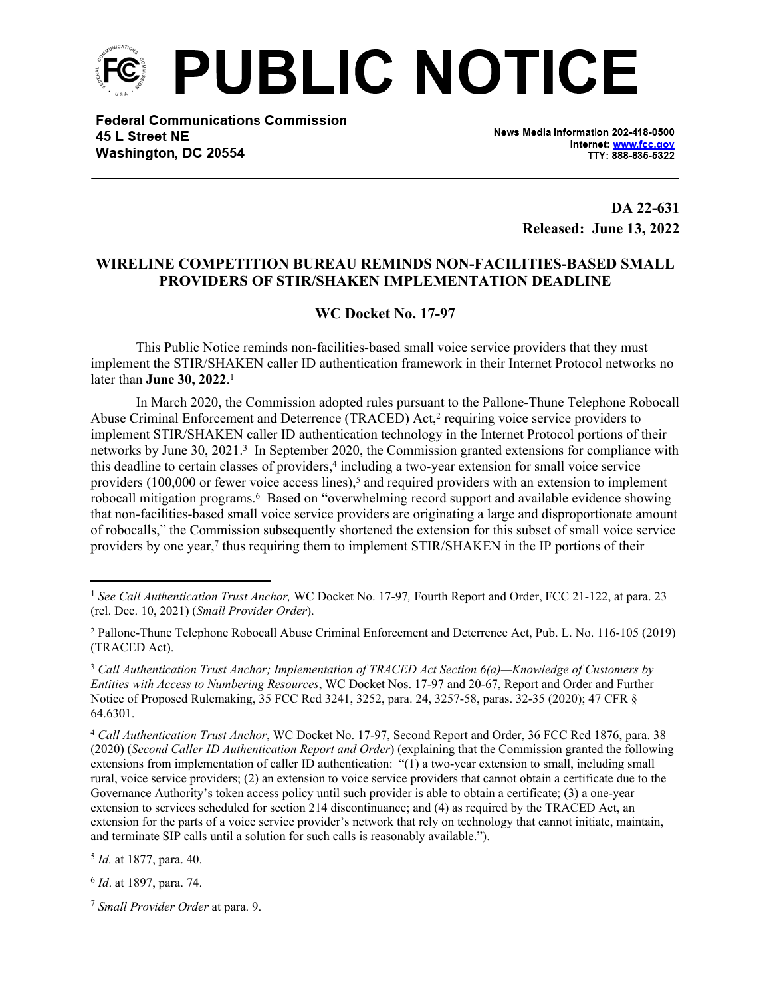

**Federal Communications Commission** 45 L Street NE Washington, DC 20554

News Media Information 202-418-0500 Internet: www.fcc.gov TTY: 888-835-5322

> **DA 22-631 Released: June 13, 2022**

## **WIRELINE COMPETITION BUREAU REMINDS NON-FACILITIES-BASED SMALL PROVIDERS OF STIR/SHAKEN IMPLEMENTATION DEADLINE**

## **WC Docket No. 17-97**

This Public Notice reminds non-facilities-based small voice service providers that they must implement the STIR/SHAKEN caller ID authentication framework in their Internet Protocol networks no later than **June 30, 2022**. 1

In March 2020, the Commission adopted rules pursuant to the Pallone-Thune Telephone Robocall Abuse Criminal Enforcement and Deterrence (TRACED) Act,<sup>2</sup> requiring voice service providers to implement STIR/SHAKEN caller ID authentication technology in the Internet Protocol portions of their networks by June 30, 2021.<sup>3</sup> In September 2020, the Commission granted extensions for compliance with this deadline to certain classes of providers,<sup>4</sup> including a two-year extension for small voice service providers  $(100,000)$  or fewer voice access lines),<sup>5</sup> and required providers with an extension to implement robocall mitigation programs.<sup>6</sup> Based on "overwhelming record support and available evidence showing that non-facilities-based small voice service providers are originating a large and disproportionate amount of robocalls," the Commission subsequently shortened the extension for this subset of small voice service providers by one year,<sup>7</sup> thus requiring them to implement STIR/SHAKEN in the IP portions of their

5 *Id.* at 1877, para. 40.

6 *Id*. at 1897, para. 74.

<sup>&</sup>lt;sup>1</sup> See Call Authentication Trust Anchor, WC Docket No. 17-97, Fourth Report and Order, FCC 21-122, at para. 23 (rel. Dec. 10, 2021) (*Small Provider Order*).

<sup>2</sup> Pallone-Thune Telephone Robocall Abuse Criminal Enforcement and Deterrence Act, Pub. L. No. 116-105 (2019) (TRACED Act).

<sup>3</sup> *Call Authentication Trust Anchor; Implementation of TRACED Act Section 6(a)—Knowledge of Customers by Entities with Access to Numbering Resources*, WC Docket Nos. 17-97 and 20-67, Report and Order and Further Notice of Proposed Rulemaking, 35 FCC Rcd 3241, 3252, para. 24, 3257-58, paras. 32-35 (2020); 47 CFR § 64.6301.

<sup>4</sup> *Call Authentication Trust Anchor*, WC Docket No. 17-97, Second Report and Order, 36 FCC Rcd 1876, para. 38 (2020) (*Second Caller ID Authentication Report and Order*) (explaining that the Commission granted the following extensions from implementation of caller ID authentication: "(1) a two-year extension to small, including small rural, voice service providers; (2) an extension to voice service providers that cannot obtain a certificate due to the Governance Authority's token access policy until such provider is able to obtain a certificate; (3) a one-year extension to services scheduled for section 214 discontinuance; and (4) as required by the TRACED Act, an extension for the parts of a voice service provider's network that rely on technology that cannot initiate, maintain, and terminate SIP calls until a solution for such calls is reasonably available.").

<sup>7</sup> *Small Provider Order* at para. 9.